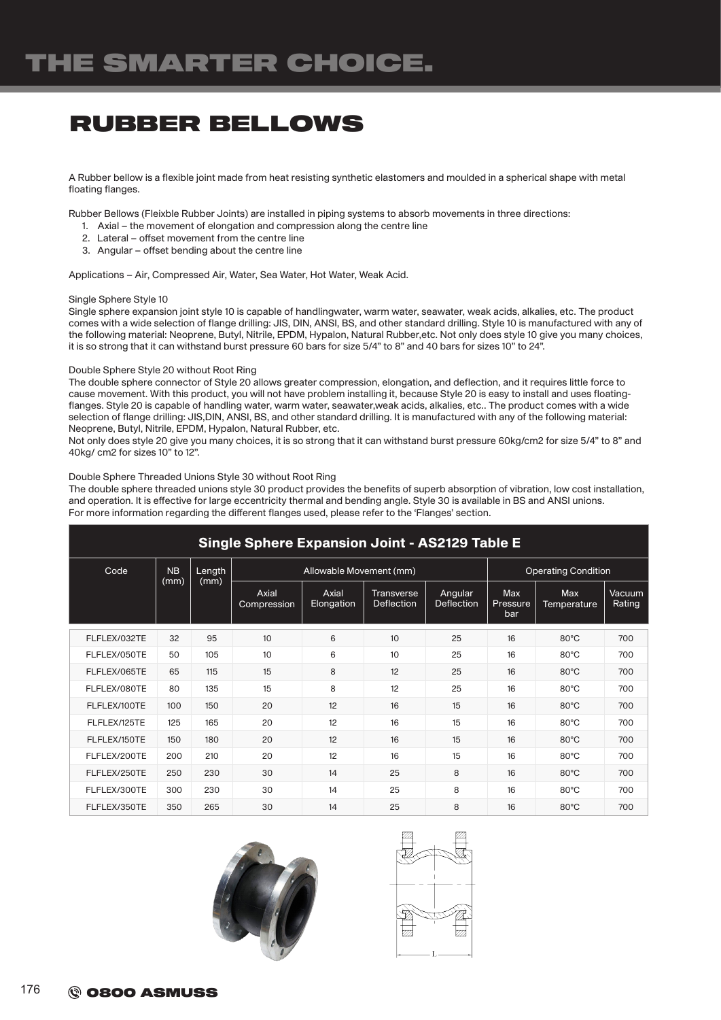### RUBBER BELLOWS

A Rubber bellow is a flexible joint made from heat resisting synthetic elastomers and moulded in a spherical shape with metal floating flanges.

Rubber Bellows (Fleixble Rubber Joints) are installed in piping systems to absorb movements in three directions:

- 1. Axial the movement of elongation and compression along the centre line
- 2. Lateral offset movement from the centre line
- 3. Angular offset bending about the centre line

Applications – Air, Compressed Air, Water, Sea Water, Hot Water, Weak Acid.

### Single Sphere Style 10

Single sphere expansion joint style 10 is capable of handlingwater, warm water, seawater, weak acids, alkalies, etc. The product comes with a wide selection of flange drilling: JIS, DIN, ANSI, BS, and other standard drilling. Style 10 is manufactured with any of the following material: Neoprene, Butyl, Nitrile, EPDM, Hypalon, Natural Rubber,etc. Not only does style 10 give you many choices, it is so strong that it can withstand burst pressure 60 bars for size 5/4" to 8" and 40 bars for sizes 10" to 24".

#### Double Sphere Style 20 without Root Ring

The double sphere connector of Style 20 allows greater compression, elongation, and deflection, and it requires little force to cause movement. With this product, you will not have problem installing it, because Style 20 is easy to install and uses floatingflanges. Style 20 is capable of handling water, warm water, seawater,weak acids, alkalies, etc.. The product comes with a wide selection of flange drilling: JIS,DIN, ANSI, BS, and other standard drilling. It is manufactured with any of the following material: Neoprene, Butyl, Nitrile, EPDM, Hypalon, Natural Rubber, etc.

Not only does style 20 give you many choices, it is so strong that it can withstand burst pressure 60kg/cm2 for size 5/4" to 8" and 40kg/ cm2 for sizes 10" to 12".

#### Double Sphere Threaded Unions Style 30 without Root Ring

The double sphere threaded unions style 30 product provides the benefits of superb absorption of vibration, low cost installation, and operation. It is effective for large eccentricity thermal and bending angle. Style 30 is available in BS and ANSI unions. For more information regarding the different flanges used, please refer to the 'Flanges' section.

| <b>Single Sphere Expansion Joint - AS2129 Table E</b> |           |        |                         |                     |                                 |                              |                               |                           |                  |  |
|-------------------------------------------------------|-----------|--------|-------------------------|---------------------|---------------------------------|------------------------------|-------------------------------|---------------------------|------------------|--|
| Code                                                  | <b>NB</b> | Length | Allowable Movement (mm) |                     |                                 |                              | <b>Operating Condition</b>    |                           |                  |  |
|                                                       | (mm)      | (mm)   | Axial<br>Compression    | Axial<br>Elongation | <b>Transverse</b><br>Deflection | Angular<br><b>Deflection</b> | <b>Max</b><br>Pressure<br>bar | <b>Max</b><br>Temperature | Vacuum<br>Rating |  |
| FLFLEX/032TE                                          | 32        | 95     | 10                      | 6                   | 10                              | 25                           | 16                            | 80°C                      | 700              |  |
| FLFLEX/050TE                                          | 50        | 105    | 10                      | 6                   | 10                              | 25                           | 16                            | $80^{\circ}$ C            | 700              |  |
| FLFLEX/065TE                                          | 65        | 115    | 15                      | 8                   | 12                              | 25                           | 16                            | $80^{\circ}$ C            | 700              |  |
| FLFLEX/080TE                                          | 80        | 135    | 15                      | 8                   | 12                              | 25                           | 16                            | $80^{\circ}$ C            | 700              |  |
| FLFLEX/100TE                                          | 100       | 150    | 20                      | 12                  | 16                              | 15                           | 16                            | $80^{\circ}$ C            | 700              |  |
| FLFLEX/125TE                                          | 125       | 165    | 20                      | 12                  | 16                              | 15                           | 16                            | $80^{\circ}$ C            | 700              |  |
| FLFLEX/150TE                                          | 150       | 180    | 20                      | 12                  | 16                              | 15                           | 16                            | $80^{\circ}$ C            | 700              |  |
| FLFLEX/200TE                                          | 200       | 210    | 20                      | 12                  | 16                              | 15                           | 16                            | $80^{\circ}$ C            | 700              |  |
| FLFLEX/250TE                                          | 250       | 230    | 30                      | 14                  | 25                              | 8                            | 16                            | $80^{\circ}$ C            | 700              |  |
| FLFLEX/300TE                                          | 300       | 230    | 30                      | 14                  | 25                              | 8                            | 16                            | $80^{\circ}$ C            | 700              |  |
| FLFLEX/350TE                                          | 350       | 265    | 30                      | 14                  | 25                              | 8                            | 16                            | $80^{\circ}$ C            | 700              |  |



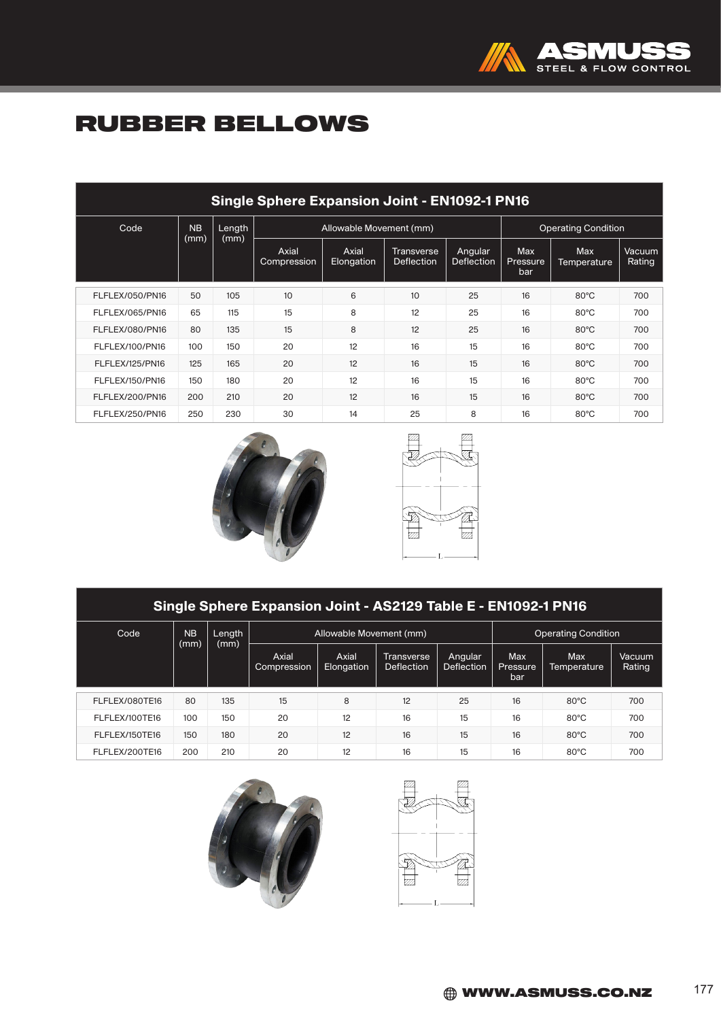

## RUBBER BELLOWS

| <b>Single Sphere Expansion Joint - EN1092-1 PN16</b> |                |              |                      |                         |                                        |                       |                               |                                  |                  |
|------------------------------------------------------|----------------|--------------|----------------------|-------------------------|----------------------------------------|-----------------------|-------------------------------|----------------------------------|------------------|
| Code                                                 | N <sub>B</sub> | Length       |                      | Allowable Movement (mm) | <b>Operating Condition</b>             |                       |                               |                                  |                  |
|                                                      |                | (mm)<br>(mm) | Axial<br>Compression | Axial<br>Elongation     | <b>Transverse</b><br><b>Deflection</b> | Angular<br>Deflection | <b>Max</b><br>Pressure<br>bar | <b>Max</b><br><b>Temperature</b> | Vacuum<br>Rating |
| FLFLEX/050/PN16                                      | 50             | 105          | 10                   | 6                       | 10                                     | 25                    | 16                            | $80^{\circ}$ C                   | 700              |
| FLFLEX/065/PN16                                      | 65             | 115          | 15                   | 8                       | 12                                     | 25                    | 16                            | $80^{\circ}$ C                   | 700              |
| FLFLEX/080/PN16                                      | 80             | 135          | 15                   | 8                       | 12                                     | 25                    | 16                            | $80^{\circ}$ C                   | 700              |
| FLFLEX/100/PN16                                      | 100            | 150          | 20                   | 12                      | 16                                     | 15                    | 16                            | $80^{\circ}$ C                   | 700              |
| FLFLEX/125/PN16                                      | 125            | 165          | 20                   | 12                      | 16                                     | 15                    | 16                            | $80^{\circ}$ C                   | 700              |
| FLFLEX/150/PN16                                      | 150            | 180          | 20                   | 12                      | 16                                     | 15                    | 16                            | $80^{\circ}$ C                   | 700              |
| FLFLEX/200/PN16                                      | 200            | 210          | 20                   | 12                      | 16                                     | 15                    | 16                            | $80^{\circ}$ C                   | 700              |
| FLFLEX/250/PN16                                      | 250            | 230          | 30                   | 14                      | 25                                     | 8                     | 16                            | $80^{\circ}$ C                   | 700              |





| Single Sphere Expansion Joint - AS2129 Table E - EN1092-1 PN16 |           |                        |                      |                         |                                 |                       |                               |                           |                  |
|----------------------------------------------------------------|-----------|------------------------|----------------------|-------------------------|---------------------------------|-----------------------|-------------------------------|---------------------------|------------------|
| Code                                                           | <b>NB</b> | Length<br>(mm)<br>(mm) |                      | Allowable Movement (mm) | <b>Operating Condition</b>      |                       |                               |                           |                  |
|                                                                |           |                        | Axial<br>Compression | Axial<br>Elongation     | Transverse<br><b>Deflection</b> | Angular<br>Deflection | <b>Max</b><br>Pressure<br>bar | <b>Max</b><br>Temperature | Vacuum<br>Rating |
| FLFLEX/080TE16                                                 | 80        | 135                    | 15                   | 8                       | 12                              | 25                    | 16                            | $80^{\circ}$ C            | 700              |
| FLFLEX/100TE16                                                 | 100       | 150                    | 20                   | 12                      | 16                              | 15                    | 16                            | $80^{\circ}$ C            | 700              |
| FLFLEX/150TE16                                                 | 150       | 180                    | 20                   | 12                      | 16                              | 15                    | 16                            | $80^{\circ}$ C            | 700              |
| FLFLEX/200TE16                                                 | 200       | 210                    | 20                   | 12                      | 16                              | 15                    | 16                            | $80^{\circ}$ C            | 700              |